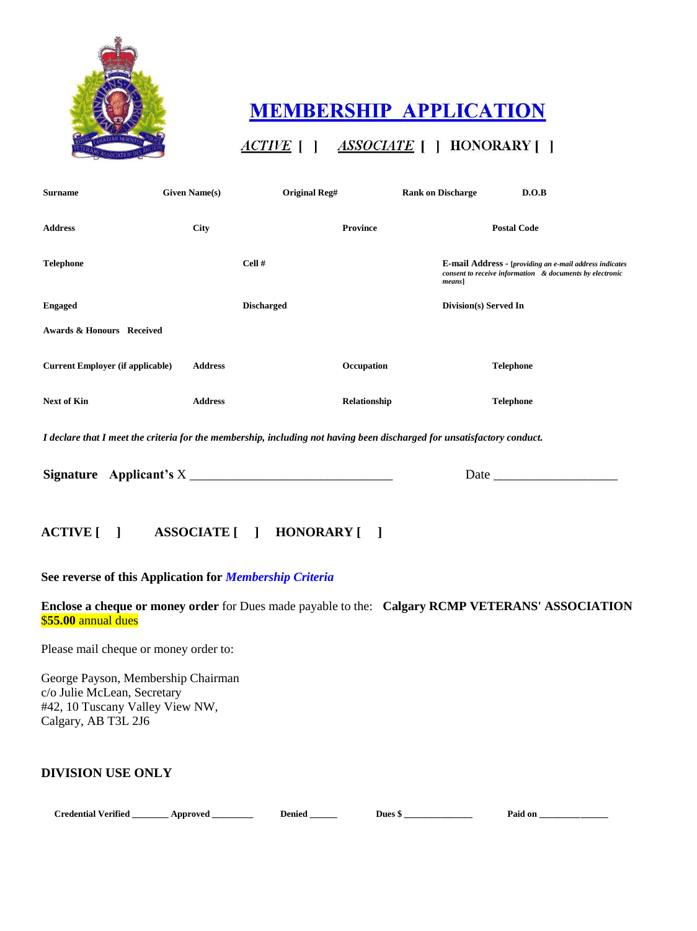

# **MEMBERSHIP APPLICATION**

# ACTIVE [ ] ASSOCIATE [ ] HONORARY [ ]

| <b>Surname</b>                          | <b>Given Name(s)</b> | Original Reg#                              | <b>Rank on Discharge</b>                                                                                                | D.O.B                                                                                                               |
|-----------------------------------------|----------------------|--------------------------------------------|-------------------------------------------------------------------------------------------------------------------------|---------------------------------------------------------------------------------------------------------------------|
| <b>Address</b>                          | <b>City</b>          | <b>Province</b>                            |                                                                                                                         | <b>Postal Code</b>                                                                                                  |
| <b>Telephone</b>                        | Cell#                |                                            | $means$ ]                                                                                                               | E-mail Address - [providing an e-mail address indicates<br>consent to receive information & documents by electronic |
| <b>Engaged</b>                          |                      | <b>Discharged</b><br>Division(s) Served In |                                                                                                                         |                                                                                                                     |
| Awards & Honours Received               |                      |                                            |                                                                                                                         |                                                                                                                     |
| <b>Current Employer (if applicable)</b> | <b>Address</b>       | Occupation                                 |                                                                                                                         | <b>Telephone</b>                                                                                                    |
| <b>Next of Kin</b>                      | <b>Address</b>       | Relationship                               |                                                                                                                         | <b>Telephone</b>                                                                                                    |
|                                         |                      |                                            | I declare that I meet the criteria for the membership, including not having been discharged for unsatisfactory conduct. |                                                                                                                     |
| Signature Applicant's X                 |                      |                                            | Date $_{-}$                                                                                                             |                                                                                                                     |

## **ACTIVE [ ] ASSOCIATE [ ] HONORARY [ ]**

#### **See reverse of this Application for** *Membership Criteria*

**Enclose a cheque or money order** for Dues made payable to the: **Calgary RCMP VETERANS' ASSOCIATION**  \$**55.00** annual dues

Please mail cheque or money order to:

George Payson, Membership Chairman c/o Julie McLean, Secretary #42, 10 Tuscany Valley View NW, Calgary, AB T3L 2J6

#### **DIVISION USE ONLY**

| <b>Credential Verified</b> |  | App |
|----------------------------|--|-----|
|                            |  |     |

proved \_\_\_\_\_\_\_\_\_\_ Denied \_\_\_\_\_\_ Dues \$ \_\_\_\_\_\_\_\_\_\_\_\_\_ Paid on \_\_\_\_\_\_\_\_\_\_\_\_\_\_\_\_\_\_\_\_